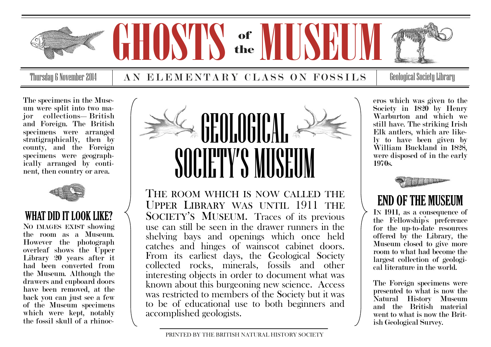

Thursday 6 November 2014  $\quad$   $\mid$   $\;$   $\bf{A}$   $\bf{N}$   $\;$   $\bf{E}$   $\bf{L}$   $\bf{E}$   $\bf{M}$   $\bf{E}$   $\bf{N}$   $\bf{T}$   $\bf{A}$   $\bf{R}$   $\bf{Y}$   $\;$   $\bf{C}$   $\bf{L}$   $\bf{A}$   $\bf{S}$   $\;$   $\bf{O}$   $\bf{N}$   $\;$   $\bf{F}$   $\bf{O}$   $\$ 

The specimens in the Museum were split into two major collections—British and Foreign. The British specimens were arranged stratigraphically, then by county, and the Foreign specimens were geographically arranged by continent, then country or area.



## WHAT DID IT LOOK LIKE?

NO IMAGES EXIST showing the room as a Museum. However the photograph overleaf shows the Upper Library 20 years after it had been converted from the Museum. Although the drawers and cupboard doors have been removed, at the back you can just see a few of the Museum specimens which were kept, notably the fossil skull of a rhinoc-



THE ROOM WHICH IS NOW CALLED THE UPPER LIBRARY WAS UNTIL 1911 THE SOCIETY'S MUSEUM. Traces of its previous use can still be seen in the drawer runners in the shelving bays and openings which once held catches and hinges of wainscot cabinet doors. From its earliest days, the Geological Society collected rocks, minerals, fossils and other interesting objects in order to document what was known about this burgeoning new science. Access was restricted to members of the Society but it was to be of educational use to both beginners and accomplished geologists.

eros which was given to the Society in 1820 by Henry Warburton and which we still have. The striking Irish Elk antlers, which are likely to have been given by William Buckland in 1828, were disposed of in the early 1970s.



## END OF THE MUSEUM

IN 1911, as a consequence of the Fellowship's preference for the up-to-date resources offered by the Library, the Museum closed to give more room to what had become the largest collection of geological literature in the world.

The Foreign specimens were presented to what is now the Natural History Museum and the British material went to what is now the British Geological Survey.